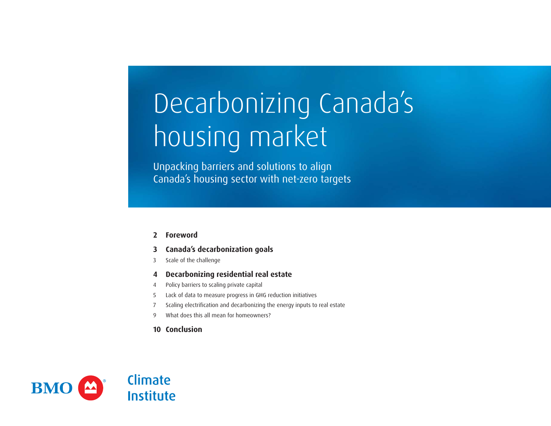# Decarbonizing Canada's housing market

Unpacking barriers and solutions to align Canada's housing sector with net-zero targets

- **[Foreword](#page-1-0)**
- **[Canada's decarbonization goals](#page-2-0)**
- [Scale of the challenge](#page-2-0)
- **[4 Decarbonizing residential real estate](#page-3-0)**
- [Policy barriers to scaling private capital](#page-3-0)
- [Lack of data to measure progress in GHG reduction initiatives](#page-4-0)
- [Scaling electrification and decarbonizing the energy inputs to real estate](#page-6-0)
- [What does this all mean for homeowners?](#page-8-0)
- **[Conclusion](#page-9-0)**

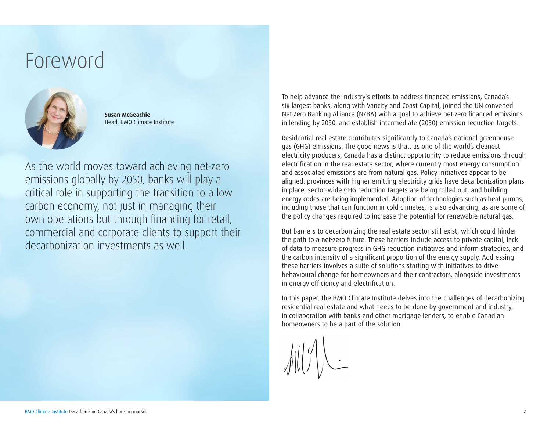### <span id="page-1-0"></span>Foreword



**Susan McGeachie** Head, BMO Climate Institute

As the world moves toward achieving net-zero emissions globally by 2050, banks will play a critical role in supporting the transition to a low carbon economy, not just in managing their own operations but through financing for retail, commercial and corporate clients to support their decarbonization investments as well.

To help advance the industry's efforts to address financed emissions, Canada's six largest banks, along with Vancity and Coast Capital, joined the UN convened Net-Zero Banking Alliance (NZBA) with a goal to achieve net-zero financed emissions in lending by 2050, and establish intermediate (2030) emission reduction targets.

Residential real estate contributes significantly to Canada's national greenhouse gas (GHG) emissions. The good news is that, as one of the world's cleanest electricity producers, Canada has a distinct opportunity to reduce emissions through electrification in the real estate sector, where currently most energy consumption and associated emissions are from natural gas. Policy initiatives appear to be aligned: provinces with higher emitting electricity grids have decarbonization plans in place, sector-wide GHG reduction targets are being rolled out, and building energy codes are being implemented. Adoption of technologies such as heat pumps, including those that can function in cold climates, is also advancing, as are some of the policy changes required to increase the potential for renewable natural gas.

But barriers to decarbonizing the real estate sector still exist, which could hinder the path to a net-zero future. These barriers include access to private capital, lack of data to measure progress in GHG reduction initiatives and inform strategies, and the carbon intensity of a significant proportion of the energy supply. Addressing these barriers involves a suite of solutions starting with initiatives to drive behavioural change for homeowners and their contractors, alongside investments in energy efficiency and electrification.

In this paper, the BMO Climate Institute delves into the challenges of decarbonizing residential real estate and what needs to be done by government and industry, in collaboration with banks and other mortgage lenders, to enable Canadian homeowners to be a part of the solution.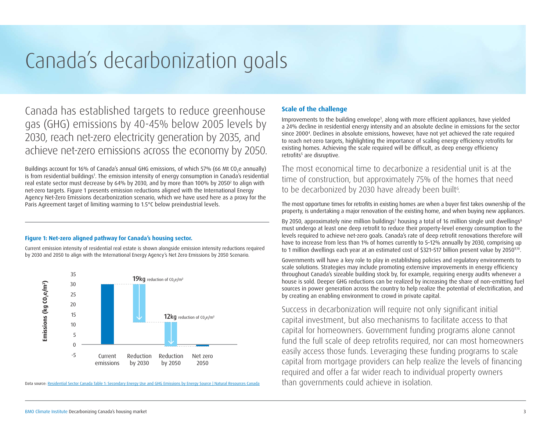## <span id="page-2-0"></span>Canada's decarbonization goals

Canada has established targets to reduce greenhouse gas (GHG) emissions by 40-45% below 2005 levels by 2030, reach net-zero electricity generation by 2035, and achieve net-zero emissions across the economy by 2050.

Buildings account for 16% of Canada's annual GHG emissions, of which 57% (66 Mt CO<sub>2</sub>e annually) is from residential buildings<sup>1</sup>. The emission intensity of energy consumption in Canada's residential real estate sector must decrease by 64% by 2030, and by more than 100% by 2050<sup>2</sup> to align with net-zero targets. Figure 1 presents emission reductions aligned with the International Energy Agency Net-Zero Emissions decarbonization scenario, which we have used here as a proxy for the Paris Agreement target of limiting warming to 1.5°C below preindustrial levels.

#### **Figure 1: Net-zero aligned pathway for Canada's housing sector.**

Current emission intensity of residential real estate is shown alongside emission intensity reductions required by 2030 and 2050 to align with the International Energy Agency's Net Zero Emissions by 2050 Scenario.



Data source: [Residential Sector Canada Table 1: Secondary Energy Use and GHG Emissions by Energy Source | Natural Resources Canada](https://oee.nrcan.gc.ca/corporate/statistics/neud/dpa/showTable.cfm?type=CP§or=res&juris=ca&rn=1&page=0)

#### **Scale of the challenge**

Improvements to the building envelope<sup>3</sup>, along with more efficient appliances, have yielded a 24% decline in residential energy intensity and an absolute decline in emissions for the sector since 20004 . Declines in absolute emissions, however, have not yet achieved the rate required to reach net-zero targets, highlighting the importance of scaling energy efficiency retrofits for existing homes. Achieving the scale required will be difficult, as deep energy efficiency retrofits<sup>5</sup> are disruptive.

The most economical time to decarbonize a residential unit is at the time of construction, but approximately 75% of the homes that need to be decarbonized by 2030 have already been built<sup>6</sup>.

The most opportune times for retrofits in existing homes are when a buyer first takes ownership of the property, is undertaking a major renovation of the existing home, and when buying new appliances.

By 2050, approximately nine million buildings<sup>7</sup> housing a total of 16 million single unit dwellings<sup>8</sup> must undergo at least one deep retrofit to reduce their property-level energy consumption to the levels required to achieve net-zero goals. Canada's rate of deep retrofit renovations therefore will have to increase from less than 1% of homes currently to 5–12% annually by 2030, comprising up to 1 million dwellings each year at an estimated cost of \$321-517 billion present value by 2050<sup>9,10</sup>.

Governments will have a key role to play in establishing policies and regulatory environments to scale solutions. Strategies may include promoting extensive improvements in energy efficiency throughout Canada's sizeable building stock by, for example, requiring energy audits whenever a house is sold. Deeper GHG reductions can be realized by increasing the share of non-emitting fuel sources in power generation across the country to help realize the potential of electrification, and by creating an enabling environment to crowd in private capital.

Success in decarbonization will require not only significant initial capital investment, but also mechanisms to facilitate access to that capital for homeowners. Government funding programs alone cannot fund the full scale of deep retrofits required, nor can most homeowners easily access those funds. Leveraging these funding programs to scale capital from mortgage providers can help realize the levels of financing required and offer a far wider reach to individual property owners than governments could achieve in isolation.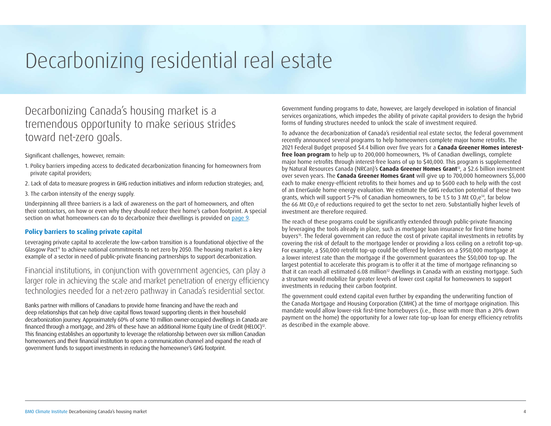## <span id="page-3-0"></span>Decarbonizing residential real estate

#### Decarbonizing Canada's housing market is a tremendous opportunity to make serious strides toward net-zero goals.

#### Significant challenges, however, remain:

- 1. Policy barriers impeding access to dedicated decarbonization financing for homeowners from private capital providers;
- 2. Lack of data to measure progress in GHG reduction initiatives and inform reduction strategies; and,
- 3. The carbon intensity of the energy supply.

Underpinning all three barriers is a lack of awareness on the part of homeowners, and often their contractors, on how or even why they should reduce their home's carbon footprint. A special section on what homeowners can do to decarbonize their dwellings is provided on [page 9.](#page-8-0)

#### **Policy barriers to scaling private capital**

Leveraging private capital to accelerate the low-carbon transition is a foundational objective of the Glasgow Pact<sup>11</sup> to achieve national commitments to net zero by 2050. The housing market is a key example of a sector in need of public-private financing partnerships to support decarbonization.

Financial institutions, in conjunction with government agencies, can play a larger role in achieving the scale and market penetration of energy efficiency technologies needed for a net-zero pathway in Canada's residential sector.

Banks partner with millions of Canadians to provide home financing and have the reach and deep relationships that can help drive capital flows toward supporting clients in their household decarbonization journey. Approximately 60% of some 10 million owner-occupied dwellings in Canada are financed through a mortgage, and 28% of these have an additional Home Equity Line of Credit (HELOC)12. This financing establishes an opportunity to leverage the relationship between over six million Canadian homeowners and their financial institution to open a communication channel and expand the reach of government funds to support investments in reducing the homeowner's GHG footprint.

Government funding programs to date, however, are largely developed in isolation of financial services organizations, which impedes the ability of private capital providers to design the hybrid forms of funding structures needed to unlock the scale of investment required.

To advance the decarbonization of Canada's residential real estate sector, the federal government recently announced several programs to help homeowners complete major home retrofits. The 2021 Federal Budget proposed \$4.4 billion over five years for a **Canada Greener Homes interestfree loan program** to help up to 200,000 homeowners, 1% of Canadian dwellings, complete major home retrofits through interest-free loans of up to \$40,000. This program is supplemented by Natural Resources Canada (NRCan)'s **Canada Greener Homes Grant**13, a \$2.6 billion investment over seven years. The **Canada Greener Homes Grant** will give up to 700,000 homeowners \$5,000 each to make energy-efficient retrofits to their homes and up to \$600 each to help with the cost of an EnerGuide home energy evaluation. We estimate the GHG reduction potential of these two grants, which will support 5-7% of Canadian homeowners, to be 1.5 to 3 Mt CO<sub>2</sub>e<sup>14</sup>, far below the 66 Mt CO<sub>2</sub>e of reductions required to get the sector to net zero. Substantially higher levels of investment are therefore required.

The reach of these programs could be significantly extended through public-private financing by leveraging the tools already in place, such as mortgage loan insurance for first-time home buyers15. The federal government can reduce the cost of private capital investments in retrofits by covering the risk of default to the mortgage lender or providing a loss ceiling on a retrofit top-up. For example, a \$50,000 retrofit top-up could be offered by lenders on a \$950,000 mortgage at a lower interest rate than the mortgage if the government guarantees the \$50,000 top-up. The largest potential to accelerate this program is to offer it at the time of mortgage refinancing so that it can reach all estimated 6.08 million<sup>12</sup> dwellings in Canada with an existing mortgage. Such a structure would mobilize far greater levels of lower cost capital for homeowners to support investments in reducing their carbon footprint.

The government could extend capital even further by expanding the underwriting function of the Canada Mortgage and Housing Corporation (CMHC) at the time of mortgage origination. This mandate would allow lower-risk first-time homebuyers (i.e., those with more than a 20% down payment on the home) the opportunity for a lower rate top-up loan for energy efficiency retrofits as described in the example above.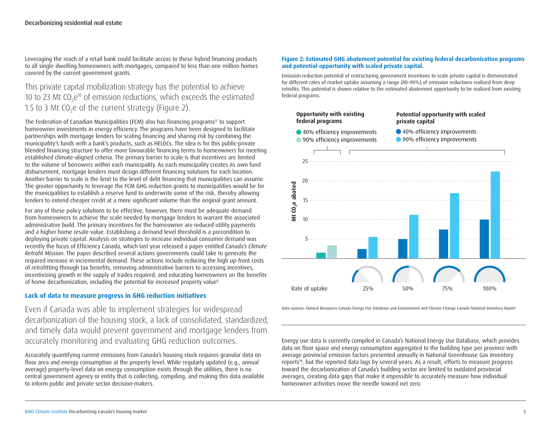<span id="page-4-0"></span>Leveraging the reach of a retail bank could facilitate access to these hybrid financing products to all single dwelling homeowners with mortgages, compared to less than one million homes covered by the current government grants.

#### This private capital mobilization strategy has the potential to achieve 10 to 23 Mt CO<sub>2</sub>e<sup>16</sup> of emission reductions, which exceeds the estimated 1.5 to 3 Mt  $CO<sub>2</sub>e$  of the current strategy (Figure 2).

The Federation of Canadian Municipalities (FCM) also has financing programs<sup>17</sup> to support homeowner investments in energy efficiency. The programs have been designed to facilitate partnerships with mortgage lenders for scaling financing and sharing risk by combining the municipality's funds with a bank's products, such as HELOCs. The idea is for this public-private blended financing structure to offer more favourable financing terms to homeowners for meeting established climate-aligned criteria. The primary barrier to scale is that incentives are limited to the volume of borrowers within each municipality. As each municipality creates its own fund disbursement, mortgage lenders must design different financing solutions for each location. Another barrier to scale is the limit to the level of debt financing that municipalities can assume. The greater opportunity to leverage the FCM GHG reduction grants to municipalities would be for the municipalities to establish a reserve fund to underwrite some of the risk, thereby allowing lenders to extend cheaper credit at a more significant volume than the original grant amount.

For any of these policy solutions to be effective, however, there must be adequate demand from homeowners to achieve the scale needed by mortgage lenders to warrant the associated administrative build. The primary incentives for the homeowner are reduced utility payments and a higher home resale value. Establishing a demand level threshold is a precondition to deploying private capital. Analysis on strategies to increase individual consumer demand was recently the focus of Efficiency Canada, which last year released a paper entitled *Canada's Climate Retrofit Mission*. The paper described several actions governments could take to generate the required increase in incremental demand. These actions include reducing the high up-front costs of retrofitting through tax benefits, removing administrative barriers to accessing incentives, incentivizing growth in the supply of trades required, and educating homeowners on the benefits of home decarbonization, including the potential for increased property value<sup>s</sup>.

#### **Lack of data to measure progress in GHG reduction initiatives**

Even if Canada was able to implement strategies for widespread decarbonization of the housing stock, a lack of consolidated, standardized, and timely data would prevent government and mortgage lenders from accurately monitoring and evaluating GHG reduction outcomes.

Accurately quantifying current emissions from Canada's housing stock requires granular data on floor area and energy consumption at the property level. While regularly updated (e.g., annual average) property-level data on energy consumption exists through the utilities, there is no central government agency or entity that is collecting, compiling, and making this data available to inform public and private sector decision-makers.

#### **Figure 2: Estimated GHG abatement potential for existing federal decarbonization programs and potential opportunity with scaled private capital.**

Emission reduction potential of restructuring government incentives to scale private capital is demonstrated for different rates of market uptake assuming a range (40–90%) of emission reductions realized from deep retrofits. This potential is shown relative to the estimated abatement opportunity to be realized from existing federal programs.



Data sources: Natural Resources Canada Energy Use Database and Environment and Climate Change Canada National Inventory Report

Energy use data is currently compiled in Canada's National Energy Use Database, which provides data on floor space and energy consumption aggregated to the building type per province with average provincial emission factors presented annually in National Greenhouse Gas Inventory reports18, but the reported data lags by several years. As a result, efforts to measure progress toward the decarbonization of Canada's building sector are limited to outdated provincial averages, creating data gaps that make it impossible to accurately measure how individual homeowner activities move the needle toward net zero.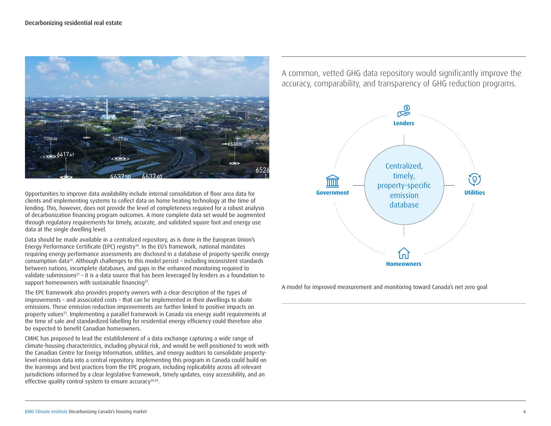

Opportunities to improve data availability include internal consolidation of floor area data for clients and implementing systems to collect data on home heating technology at the time of lending. This, however, does not provide the level of completeness required for a robust analysis of decarbonization financing program outcomes. A more complete data set would be augmented through regulatory requirements for timely, accurate, and validated square foot and energy use data at the single dwelling level.

Data should be made available in a centralized repository, as is done in the European Union's Energy Performance Certificate (EPC) registry<sup>19</sup>. In the EU's framework, national mandates requiring energy performance assessments are disclosed in a database of property-specific energy consumption data<sup>20</sup>. Although challenges to this model persist - including inconsistent standards between nations, incomplete databases, and gaps in the enhanced monitoring required to validate submissions<sup>21</sup> – it is a data source that has been leveraged by lenders as a foundation to support homeowners with sustainable financing<sup>22</sup>.

The EPC framework also provides property owners with a clear description of the types of improvements – and associated costs – that can be implemented in their dwellings to abate emissions. These emission reduction improvements are further linked to positive impacts on property values<sup>23</sup>. Implementing a parallel framework in Canada via energy audit requirements at the time of sale and standardized labelling for residential energy efficiency could therefore also be expected to benefit Canadian homeowners.

CMHC has proposed to lead the establishment of a data exchange capturing a wide range of climate-housing characteristics, including physical risk, and would be well positioned to work with the Canadian Centre for Energy Information, utilities, and energy auditors to consolidate propertylevel emission data into a central repository. Implementing this program in Canada could build on the learnings and best practices from the EPC program, including replicability across all relevant jurisdictions informed by a clear legislative framework, timely updates, easy accessibility, and an effective quality control system to ensure accuracy<sup>20,24</sup>.

A common, vetted GHG data repository would significantly improve the accuracy, comparability, and transparency of GHG reduction programs.



A model for improved measurement and monitoring toward Canada's net zero goal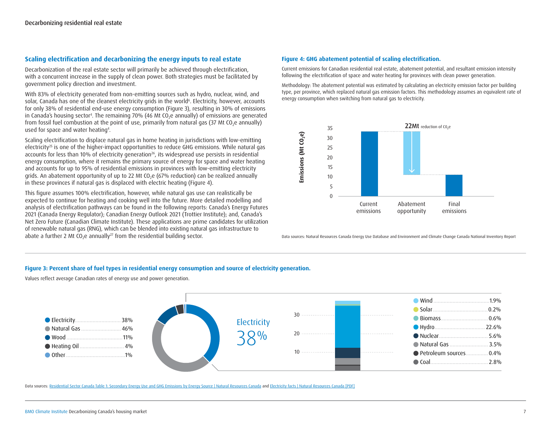#### <span id="page-6-0"></span>**Scaling electrification and decarbonizing the energy inputs to real estate**

Decarbonization of the real estate sector will primarily be achieved through electrification, with a concurrent increase in the supply of clean power. Both strategies must be facilitated by government policy direction and investment.

With 83% of electricity generated from non-emitting sources such as hydro, nuclear, wind, and solar, Canada has one of the cleanest electricity grids in the world $\epsilon$ . Electricity, however, accounts for only 38% of residential end-use energy consumption (Figure 3), resulting in 30% of emissions in Canada's housing sector<sup>4</sup>. The remaining 70% (46 Mt CO<sub>2</sub>e annually) of emissions are generated from fossil fuel combustion at the point of use, primarily from natural gas (37 Mt CO<sub>2</sub>e annually) used for space and water heating<sup>4</sup>.

Scaling electrification to displace natural gas in home heating in jurisdictions with low-emitting electricity<sup>25</sup> is one of the higher-impact opportunities to reduce GHG emissions. While natural gas accounts for less than 10% of electricity generation<sup>26</sup>, its widespread use persists in residential energy consumption, where it remains the primary source of energy for space and water heating and accounts for up to 95% of residential emissions in provinces with low-emitting electricity grids. An abatement opportunity of up to 22 Mt CO<sub>2</sub>e (67% reduction) can be realized annually in these provinces if natural gas is displaced with electric heating (Figure 4).

This figure assumes 100% electrification, however, while natural gas use can realistically be expected to continue for heating and cooking well into the future. More detailed modelling and analysis of electrification pathways can be found in the following reports: Canada's Energy Futures 2021 (Canada Energy Regulator); Canadian Energy Outlook 2021 (Trottier Institute); and, Canada's Net Zero Future (Canadian Climate Institute). These applications are prime candidates for utilization of renewable natural gas (RNG), which can be blended into existing natural gas infrastructure to abate a further 2 Mt CO<sub>2</sub>e annually<sup>27</sup> from the residential building sector.

#### **Figure 4: GHG abatement potential of scaling electrification.**

Current emissions for Canadian residential real estate, abatement potential, and resultant emission intensity following the electrification of space and water heating for provinces with clean power generation.

Methodology: The abatement potential was estimated by calculating an electricity emission factor per building type, per province, which replaced natural gas emission factors. This methodology assumes an equivalent rate of energy consumption when switching from natural gas to electricity.



Data sources: Natural Resources Canada Energy Use Database and Environment and Climate Change Canada National Inventory Report

#### **Figure 3: Percent share of fuel types in residential energy consumption and source of electricity generation.**

Values reflect average Canadian rates of energy use and power generation.



Data sources: [Residential Sector Canada Table 1: Secondary Energy Use and GHG Emissions by Energy Source | Natural Resources Canada](https://oee.nrcan.gc.ca/corporate/statistics/neud/dpa/showTable.cfm?type=CP§or=res&juris=ca&rn=1&page=0) and [Electricity facts | Natural Resources Canada \[PDF\]](https://www.nrcan.gc.ca/sites/nrcan/files/energy/energy_fact/2021-2022/PDF/2021_Energy-factbook_december23_EN_accessible.pdf)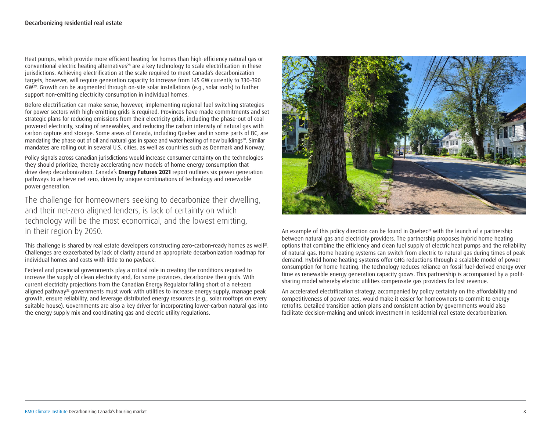Heat pumps, which provide more efficient heating for homes than high-efficiency natural gas or conventional electric heating alternatives<sup>28</sup> are a key technology to scale electrification in these jurisdictions. Achieving electrification at the scale required to meet Canada's decarbonization targets, however, will require generation capacity to increase from 145 GW currently to 330–390 GW29. Growth can be augmented through on-site solar installations (e.g., solar roofs) to further support non-emitting electricity consumption in individual homes.

Before electrification can make sense, however, implementing regional fuel switching strategies for power sectors with high-emitting grids is required. Provinces have made commitments and set strategic plans for reducing emissions from their electricity grids, including the phase-out of coal powered electricity, scaling of renewables, and reducing the carbon intensity of natural gas with carbon capture and storage. Some areas of Canada, including Quebec and in some parts of BC, are mandating the phase out of oil and natural gas in space and water heating of new buildings<sup>30</sup>. Similar mandates are rolling out in several U.S. cities, as well as countries such as Denmark and Norway.

Policy signals across Canadian jurisdictions would increase consumer certainty on the technologies they should prioritize, thereby accelerating new models of home energy consumption that drive deep decarbonization. Canada's **Energy Futures 2021** report outlines six power generation pathways to achieve net zero, driven by unique combinations of technology and renewable power generation.

The challenge for homeowners seeking to decarbonize their dwelling, and their net-zero aligned lenders, is lack of certainty on which technology will be the most economical, and the lowest emitting, in their region by 2050.

This challenge is shared by real estate developers constructing zero-carbon-ready homes as well<sup>31</sup>. Challenges are exacerbated by lack of clarity around an appropriate decarbonization roadmap for individual homes and costs with little to no payback.

Federal and provincial governments play a critical role in creating the conditions required to increase the supply of clean electricity and, for some provinces, decarbonize their grids. With current electricity projections from the Canadian Energy Regulator falling short of a net-zero aligned pathway<sup>32</sup> governments must work with utilities to increase energy supply, manage peak growth, ensure reliability, and leverage distributed energy resources (e.g., solar rooftops on every suitable house). Governments are also a key driver for incorporating lower-carbon natural gas into the energy supply mix and coordinating gas and electric utility regulations.



An example of this policy direction can be found in Quebec $33$  with the launch of a partnership between natural gas and electricity providers. The partnership proposes hybrid home heating options that combine the efficiency and clean fuel supply of electric heat pumps and the reliability of natural gas. Home heating systems can switch from electric to natural gas during times of peak demand. Hybrid home heating systems offer GHG reductions through a scalable model of power consumption for home heating. The technology reduces reliance on fossil fuel-derived energy over time as renewable energy generation capacity grows. This partnership is accompanied by a profitsharing model whereby electric utilities compensate gas providers for lost revenue.

An accelerated electrification strategy, accompanied by policy certainty on the affordability and competitiveness of power rates, would make it easier for homeowners to commit to energy retrofits. Detailed transition action plans and consistent action by governments would also facilitate decision-making and unlock investment in residential real estate decarbonization.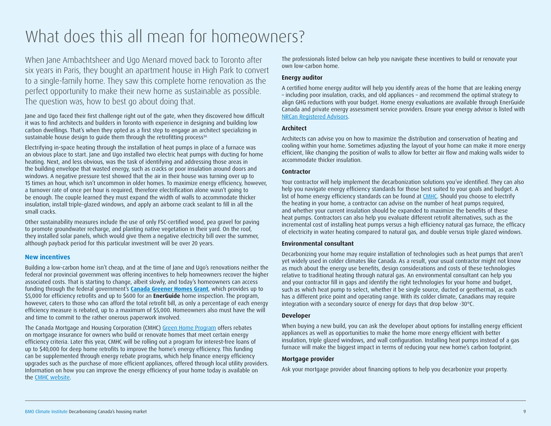### <span id="page-8-0"></span>What does this all mean for homeowners?

When Jane Ambachtsheer and Ugo Menard moved back to Toronto after six years in Paris, they bought an apartment house in High Park to convert to a single-family home. They saw this complete home renovation as the perfect opportunity to make their new home as sustainable as possible. The question was, how to best go about doing that.

Jane and Ugo faced their first challenge right out of the gate, when they discovered how difficult it was to find architects and builders in Toronto with experience in designing and building low carbon dwellings. That's when they opted as a first step to engage an architect specializing in sustainable house design to quide them through the retrofitting process<sup>34.</sup>

Electrifying in-space heating through the installation of heat pumps in place of a furnace was an obvious place to start. Jane and Ugo installed two electric heat pumps with ducting for home heating. Next, and less obvious, was the task of identifying and addressing those areas in the building envelope that wasted energy, such as cracks or poor insulation around doors and windows. A negative pressure test showed that the air in their house was turning over up to 15 times an hour, which isn't uncommon in older homes. To maximize energy efficiency, however, a turnover rate of once per hour is required, therefore electrification alone wasn't going to be enough. The couple learned they must expand the width of walls to accommodate thicker insulation, install triple-glazed windows, and apply an airborne crack sealant to fill in all the small cracks.

Other sustainability measures include the use of only FSC-certified wood, pea gravel for paving to promote groundwater recharge, and planting native vegetation in their yard. On the roof, they installed solar panels, which would give them a negative electricity bill over the summer, although payback period for this particular investment will be over 20 years.

#### **New incentives**

Building a low-carbon home isn't cheap, and at the time of Jane and Ugo's renovations neither the federal nor provincial government was offering incentives to help homeowners recover the higher associated costs. That is starting to change, albeit slowly, and today's homeowners can access funding through the federal government's **[Canada Greener Homes Grant](https://www.nrcan.gc.ca/energy-efficiency/homes/canada-greener-homes-grant/23441?_ga=2.92034266.1152223481.1622041615-565828989.1622041615)**, which provides up to \$5,000 for efficiency retrofits and up to \$600 for an **EnerGuide** home inspection. The program, however, caters to those who can afford the total retrofit bill, as only a percentage of each energy efficiency measure is rebated, up to a maximum of \$5,000. Homeowners also must have the will and time to commit to the rather onerous paperwork involved.

The Canada Mortgage and Housing Corporation (CMHC) [Green Home Program](https://www.cmhc-schl.gc.ca/en/consumers/home-buying/mortgage-loan-insurance-for-consumers/cmhc-green-home) offers rebates on mortgage insurance for owners who build or renovate homes that meet certain energy efficiency criteria. Later this year, CMHC will be rolling out a program for interest-free loans of up to \$40,000 for deep home retrofits to improve the home's energy efficiency. This funding can be supplemented through energy rebate programs, which help finance energy efficiency upgrades such as the purchase of more efficient appliances, offered through local utility providers. Information on how you can improve the energy efficiency of your home today is available on the [CMHC website](https://www.cmhc-schl.gc.ca/en/professionals/industry-innovation-and-leadership/industry-expertise/resources-for-mortgage-professionals/energy-saving-tips-for-your-home).

The professionals listed below can help you navigate these incentives to build or renovate your own low-carbon home.

#### **Energy auditor**

A certified home energy auditor will help you identify areas of the home that are leaking energy – including poor insulation, cracks, and old appliances – and recommend the optimal strategy to align GHG reductions with your budget. Home energy evaluations are available through EnerGuide Canada and private energy assessment service providers. Ensure your energy advisor is listed with [NRCan Registered Advisors](https://oee.nrcan.gc.ca/residential/personal/home-improvement/service/contact-advisors.cfm).

#### **Architect**

Architects can advise you on how to maximize the distribution and conservation of heating and cooling within your home. Sometimes adjusting the layout of your home can make it more energy efficient, like changing the position of walls to allow for better air flow and making walls wider to accommodate thicker insulation.

#### **Contractor**

Your contractor will help implement the decarbonization solutions you've identified. They can also help you navigate energy efficiency standards for those best suited to your goals and budget. A list of home energy efficiency standards can be found at [CMHC](https://www.cmhc-schl.gc.ca/en/consumers/home-buying/mortgage-loan-insurance-for-consumers/cmhc-green-home). Should you choose to electrify the heating in your home, a contractor can advise on the number of heat pumps required, and whether your current insulation should be expanded to maximize the benefits of these heat pumps. Contractors can also help you evaluate different retrofit alternatives, such as the incremental cost of installing heat pumps versus a high efficiency natural gas furnace, the efficacy of electricity in water heating compared to natural gas, and double versus triple glazed windows.

#### **Environmental consultant**

Decarbonizing your home may require installation of technologies such as heat pumps that aren't yet widely used in colder climates like Canada. As a result, your usual contractor might not know as much about the energy use benefits, design considerations and costs of these technologies relative to traditional heating through natural gas. An environmental consultant can help you and your contractor fill in gaps and identify the right technologies for your home and budget, such as which heat pump to select, whether it be single source, ducted or geothermal, as each has a different price point and operating range. With its colder climate, Canadians may require integration with a secondary source of energy for days that drop below -30°C.

#### **Developer**

When buying a new build, you can ask the developer about options for installing energy efficient appliances as well as opportunities to make the home more energy efficient with better insulation, triple glazed windows, and wall configuration. Installing heat pumps instead of a gas furnace will make the biggest impact in terms of reducing your new home's carbon footprint.

#### **Mortgage provider**

Ask your mortgage provider about financing options to help you decarbonize your property.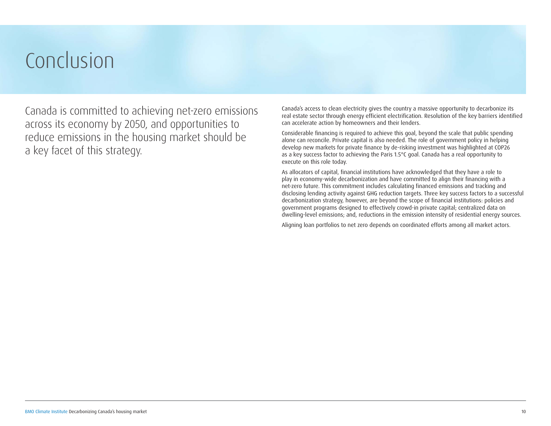## <span id="page-9-0"></span>Conclusion

Canada is committed to achieving net-zero emissions across its economy by 2050, and opportunities to reduce emissions in the housing market should be a key facet of this strategy.

Canada's access to clean electricity gives the country a massive opportunity to decarbonize its real estate sector through energy efficient electrification. Resolution of the key barriers identified can accelerate action by homeowners and their lenders.

Considerable financing is required to achieve this goal, beyond the scale that public spending alone can reconcile. Private capital is also needed. The role of government policy in helping develop new markets for private finance by de-risking investment was highlighted at COP26 as a key success factor to achieving the Paris 1.5°C goal. Canada has a real opportunity to execute on this role today.

As allocators of capital, financial institutions have acknowledged that they have a role to play in economy-wide decarbonization and have committed to align their financing with a net-zero future. This commitment includes calculating financed emissions and tracking and disclosing lending activity against GHG reduction targets. Three key success factors to a successful decarbonization strategy, however, are beyond the scope of financial institutions: policies and government programs designed to effectively crowd-in private capital; centralized data on dwelling-level emissions; and, reductions in the emission intensity of residential energy sources.

Aligning loan portfolios to net zero depends on coordinated efforts among all market actors.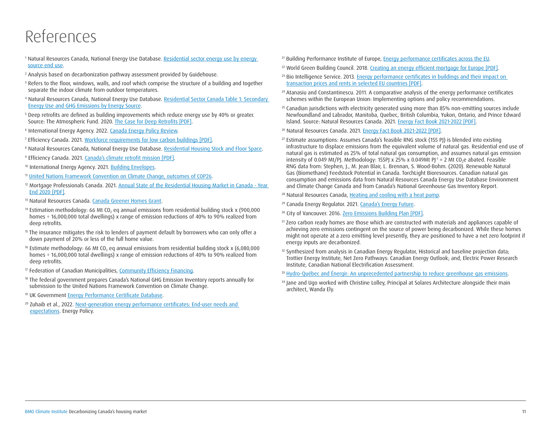### References

- <sup>1</sup> Natural Resources Canada, National Energy Use Database. [Residential sector energy use by energy](https://oee.nrcan.gc.ca/corporate/statistics/neud/dpa/showTable.cfm?type=HB§or=res&juris=00&rn=1&page=0)  [source end use](https://oee.nrcan.gc.ca/corporate/statistics/neud/dpa/showTable.cfm?type=HB§or=res&juris=00&rn=1&page=0).
- <sup>2</sup> Analysis based on decarbonization pathway assessment provided by Guidehouse.
- <sup>3</sup> Refers to the floor, windows, walls, and roof which comprise the structure of a building and together separate the indoor climate from outdoor temperatures.
- <sup>4</sup> Natural Resources Canada, National Energy Use Database. [Residential Sector Canada Table 1: Secondary](https://oee.nrcan.gc.ca/corporate/statistics/neud/dpa/showTable.cfm?type=CP§or=res&juris=ca&rn=1&page=0)  [Energy Use and GHG Emissions by Energy Source](https://oee.nrcan.gc.ca/corporate/statistics/neud/dpa/showTable.cfm?type=CP§or=res&juris=ca&rn=1&page=0).
- <sup>5</sup> Deep retrofits are defined as building improvements which reduce energy use by 40% or greater. Source: The Atmospheric Fund. 2020. [The Case for Deep Retrofits \[PDF\]](https://taf.ca/wp-content/uploads/2020/09/TAF-Business-Case-Deep-retrofits_2020.pdf).
- <sup>6</sup> International Energy Agency. 2022. [Canada Energy Policy Review.](https://www.iea.org/reports/canada-2022)
- <sup>7</sup> Efficiency Canada. 2021. [Workforce requirements for low carbon buildings \[PDF\]](https://www.efficiencycanada.org/wp-content/uploads/2021/11/Workforce-Development-Placemat-Final.pdf).
- <sup>8</sup> Natural Resources Canada, National Energy Use Database. [Residential Housing Stock and Floor Space](https://oee.nrcan.gc.ca/corporate/statistics/neud/dpa/showTable.cfm?type=HB§or=res&juris=00&rn=11&page=0).
- <sup>9</sup> Efficiency Canada. 2021. [Canada's climate retrofit mission \[PDF\]](https://www.efficiencycanada.org/wp-content/uploads/2021/06/Retrofit-Mission-FINAL-2021-06-16.pdf).
- 10 International Energy Agency. 2021. **Building Envelopes.**
- <sup>11</sup> [United Nations Framework Convention on Climate Change, outcomes of COP26](https://unfccc.int/process-and-meetings/the-paris-agreement/the-glasgow-climate-pact-key-outcomes-from-cop26).
- <sup>12</sup> Mortgage Professionals Canada. 2021. Annual State of the Residential Housing Market in Canada Year [End 2020 \[PDF\]](https://mortgageproscan.ca/docs/default-source/consumer-reports/consumer-report---march-2021---english.pdf).
- <sup>13</sup> Natural Resources Canada. [Canada Greener Homes Grant.](https://www.nrcan.gc.ca/energy-efficiency/homes/canada-greener-homes-grant/23441)
- <sup>14</sup> Estimation methodology: 66 Mt CO<sub>2</sub> eq annual emissions from residential building stock x (900,000 homes ÷ 16,000,000 total dwellings) x range of emission reductions of 40% to 90% realized from deep retrofits.
- <sup>15</sup> The insurance mitigates the risk to lenders of payment default by borrowers who can only offer a down payment of 20% or less of the full home value.
- $16$  Estimate methodology: 66 Mt CO<sub>2</sub> eq annual emissions from residential building stock x (6,080,000 homes ÷ 16,000,000 total dwellings) x range of emission reductions of 40% to 90% realized from deep retrofits.
- <sup>17</sup> Federation of Canadian Municipalities, [Community Efficiency Financing](https://fcm.ca/en/programs/green-municipal-fund/community-efficiency-financing).
- <sup>18</sup> The federal government prepares Canada's National GHG Emission Inventory reports annually for submission to the United Nations Framework Convention on Climate Change.
- <sup>19</sup> UK Government [Energy Performance Certificate Database](https://www.gov.uk/find-energy-certificate).
- <sup>20</sup> Zuhaib et al., 2022. [Next-generation energy performance certificates: End-user needs and](https://www.sciencedirect.com/science/article/pii/S0301421521005899)  [expectations](https://www.sciencedirect.com/science/article/pii/S0301421521005899). Energy Policy.
- <sup>21</sup> Building Performance Institute of Europe, *Energy performance certificates across the EU*.
- <sup>22</sup> World Green Building Council. 2018. [Creating an energy efficient mortgage for Europe \[PDF\].](https://www.worldgbc.org/sites/default/files/Creating an Energy Efficient Mortgage for Europe  Towards a New Market Standard  Web.pdf)
- <sup>23</sup> Bio Intelligence Service. 2013. Energy performance certificates in buildings and their impact on [transaction prices and rents in selected EU countries \[PDF\].](https://ec.europa.eu/energy/sites/ener/files/documents/20130619-energy_performance_certificates_in_buildings.pdf)
- <sup>24</sup> Atanasiu and Constantinescu. 2011. A comparative analysis of the energy performance certificates schemes within the European Union: Implementing options and policy recommendations.
- <sup>25</sup> Canadian jurisdictions with electricity generated using more than 85% non-emitting sources include Newfoundland and Labrador, Manitoba, Quebec, British Columbia, Yukon, Ontario, and Prince Edward Island. Source: Natural Resources Canada. 2021. [Energy Fact Book 2021-2022 \[PDF\].](https://www.nrcan.gc.ca/sites/nrcan/files/energy/energy_fact/2021-2022/PDF/2021_Energy-factbook_december23_EN_accessible.pdf)
- <sup>26</sup> Natural Resources Canada. 2021. [Energy Fact Book 2021-2022 \[PDF\]](https://www.nrcan.gc.ca/sites/nrcan/files/energy/energy_fact/2021-2022/PDF/2021_Energy-factbook_december23_EN_accessible.pdf).
- <sup>27</sup> Estimate assumptions: Assumes Canada's feasible RNG stock (155 PJ) is blended into existing infrastructure to displace emissions from the equivalent volume of natural gas. Residential end use of natural gas is estimated as 25% of total natural gas consumption, and assumes natural gas emission intensity of 0.049 Mt/PJ. Methodology: 155PJ x 25% x 0.049Mt PJ<sup>-1</sup> = 2 Mt CO<sub>2</sub>e abated. Feasible RNG data from: Stephen, J., M. Jean Blair, L. Brennan, S. Wood-Bohm. (2020). Renewable Natural Gas (Biomethane) Feedstock Potential in Canada. TorchLight Bioresources. Canadian natural gas consumption and emissions data from Natural Resources Canada Energy Use Database Environment and Climate Change Canada and from Canada's National Greenhouse Gas Inventory Report.
- <sup>28</sup> Natural Resources Canada, [Heating and cooling with a heat pump.](https://www.nrcan.gc.ca/energy-efficiency/energy-star-canada/about/energy-star-announcements/publications/heating-and-cooling-heat-pump/6817#d2)
- <sup>29</sup> Canada Energy Regulator. 2021. [Canada's Energy Future](https://apps2.cer-rec.gc.ca/energy-future/).
- <sup>30</sup> City of Vancouver. 2016. [Zero Emissions Building Plan \[PDF\].](https://vancouver.ca/files/cov/zero-emissions-building-plan.pdf)
- <sup>31</sup> Zero carbon ready homes are those which are constructed with materials and appliances capable of achieving zero emissions contingent on the source of power being decarbonized. While these homes might not operate at a zero emitting level presently, they are positioned to have a net zero footprint if energy inputs are decarbonized.
- <sup>32</sup> Synthesized from analysis in Canadian Energy Regulator, Historical and baseline projection data; Trottier Energy Institute, Net Zero Pathways: Canadian Energy Outlook; and, Electric Power Research Institute, Canadian National Electrification Assessment.
- <sup>33</sup> [Hydro-Québec and Énergir: An unprecedented partnership to reduce greenhouse gas emissions.](https://www.energir.com/en/about/media/news/partenariat-inedit-hydro-quebec-et-energir/#:~:text=from%20Gaz%20M%C3%A9tro-,Hydro%2DQu%C3%A9bec%20and%20%C3%89nergir%3A%20An%20unprecedented%20partnership,to%20reduce%20greenhouse%20gas%20emissions&text=In%20concrete%20terms%2C%20replacing%20heating,only%20in%20very%20cold%20weather)
- <sup>34</sup> Jane and Ugo worked with Christine Lolley, Principal at Solares Architecture alongside their main architect, Wanda Ely.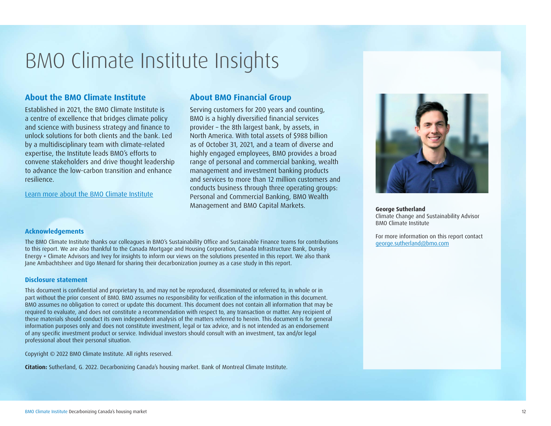## BMO Climate Institute Insights

#### **About the BMO Climate Institute**

Established in 2021, the BMO Climate Institute is a centre of excellence that bridges climate policy and science with business strategy and finance to unlock solutions for both clients and the bank. Led by a multidisciplinary team with climate-related expertise, the Institute leads BMO's efforts to convene stakeholders and drive thought leadership to advance the low-carbon transition and enhance resilience.

[Learn more about the BMO Climate Institute](https://our-impact.bmo.com/our-practices/climate-change/bmo-climate-institute/)

#### **About BMO Financial Group**

Serving customers for 200 years and counting, BMO is a highly diversified financial services provider – the 8th largest bank, by assets, in North America. With total assets of \$988 billion as of October 31, 2021, and a team of diverse and highly engaged employees, BMO provides a broad range of personal and commercial banking, wealth management and investment banking products and services to more than 12 million customers and conducts business through three operating groups: Personal and Commercial Banking, BMO Wealth Management and BMO Capital Markets.



**George Sutherland** Climate Change and Sustainability Advisor BMO Climate Institute

For more information on this report contact [george.sutherland@bmo.com](mailto:george.sutherland%40bmo.com?subject=)

#### **Acknowledgements**

The BMO Climate Institute thanks our colleagues in BMO's Sustainability Office and Sustainable Finance teams for contributions to this report. We are also thankful to the Canada Mortgage and Housing Corporation, Canada Infrastructure Bank, Dunsky Energy + Climate Advisors and Ivey for insights to inform our views on the solutions presented in this report. We also thank Jane Ambachtsheer and Ugo Menard for sharing their decarbonization journey as a case study in this report.

#### **Disclosure statement**

This document is confidential and proprietary to, and may not be reproduced, disseminated or referred to, in whole or in part without the prior consent of BMO. BMO assumes no responsibility for verification of the information in this document. BMO assumes no obligation to correct or update this document. This document does not contain all information that may be required to evaluate, and does not constitute a recommendation with respect to, any transaction or matter. Any recipient of these materials should conduct its own independent analysis of the matters referred to herein. This document is for general information purposes only and does not constitute investment, legal or tax advice, and is not intended as an endorsement of any specific investment product or service. Individual investors should consult with an investment, tax and/or legal professional about their personal situation.

Copyright © 2022 BMO Climate Institute. All rights reserved.

**Citation:** Sutherland, G. 2022. Decarbonizing Canada's housing market. Bank of Montreal Climate Institute.